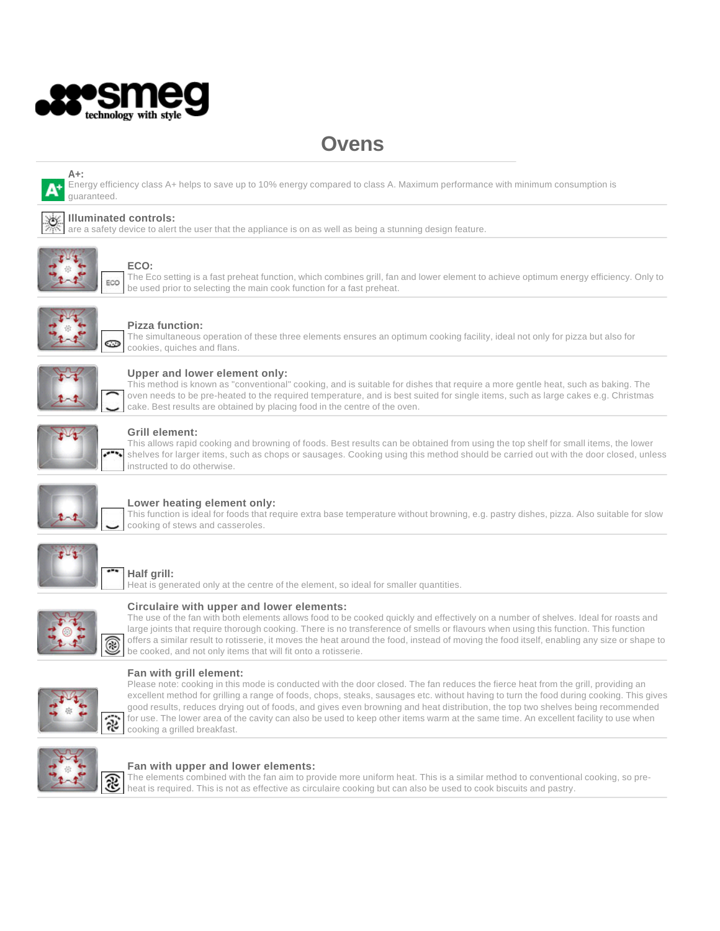

# **Ovens**



Energy efficiency class A+ helps to save up to 10% energy compared to class A. Maximum performance with minimum consumption is guaranteed.

# **Illuminated controls:**

are a safety device to alert the user that the appliance is on as well as being a stunning design feature.



# **ECO:**

The Eco setting is a fast preheat function, which combines grill, fan and lower element to achieve optimum energy efficiency. Only to be used prior to selecting the main cook function for a fast preheat.



## **Pizza function:**

The simultaneous operation of these three elements ensures an optimum cooking facility, ideal not only for pizza but also for cookies, quiches and flans.



### **Upper and lower element only:**

This method is known as "conventional" cooking, and is suitable for dishes that require a more gentle heat, such as baking. The oven needs to be pre-heated to the required temperature, and is best suited for single items, such as large cakes e.g. Christmas cake. Best results are obtained by placing food in the centre of the oven.



### **Grill element:**

This allows rapid cooking and browning of foods. Best results can be obtained from using the top shelf for small items, the lower shelves for larger items, such as chops or sausages. Cooking using this method should be carried out with the door closed, unless instructed to do otherwise.



### **Lower heating element only:**

This function is ideal for foods that require extra base temperature without browning, e.g. pastry dishes, pizza. Also suitable for slow cooking of stews and casseroles.



# **Half grill:**

Heat is generated only at the centre of the element, so ideal for smaller quantities.



#### **Circulaire with upper and lower elements:**

The use of the fan with both elements allows food to be cooked quickly and effectively on a number of shelves. Ideal for roasts and large joints that require thorough cooking. There is no transference of smells or flavours when using this function. This function offers a similar result to rotisserie, it moves the heat around the food, instead of moving the food itself, enabling any size or shape to be cooked, and not only items that will fit onto a rotisserie.



### **Fan with grill element:**

Please note: cooking in this mode is conducted with the door closed. The fan reduces the fierce heat from the grill, providing an excellent method for grilling a range of foods, chops, steaks, sausages etc. without having to turn the food during cooking. This gives good results, reduces drying out of foods, and gives even browning and heat distribution, the top two shelves being recommended for use. The lower area of the cavity can also be used to keep other items warm at the same time. An excellent facility to use when cooking a grilled breakfast.



#### **Fan with upper and lower elements:**

The elements combined with the fan aim to provide more uniform heat. This is a similar method to conventional cooking, so preheat is required. This is not as effective as circulaire cooking but can also be used to cook biscuits and pastry.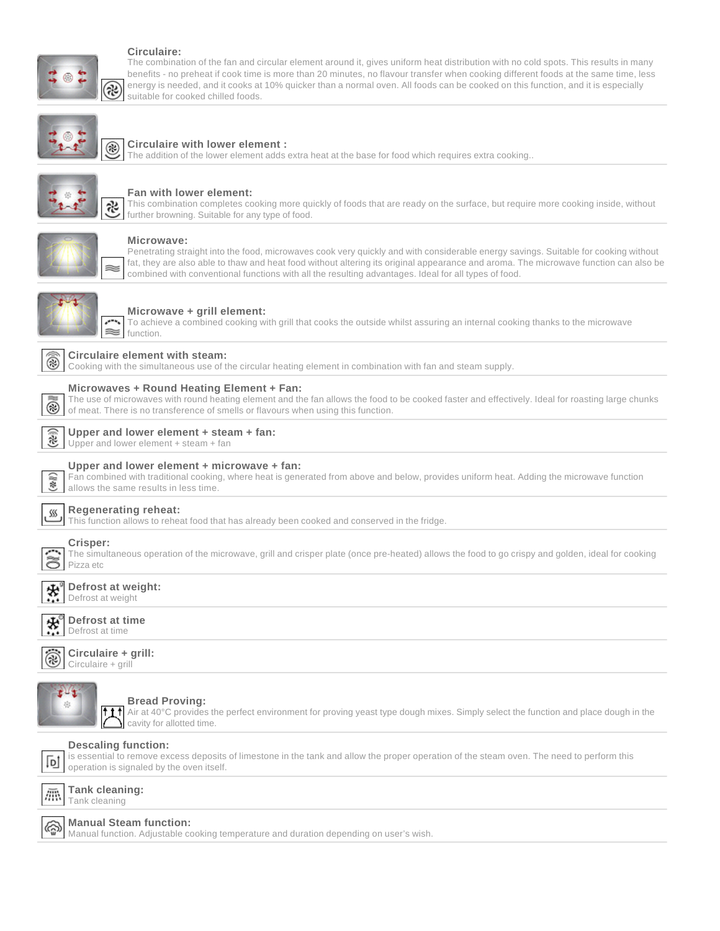# **Circulaire:**

તેરે

The combination of the fan and circular element around it, gives uniform heat distribution with no cold spots. This results in many benefits - no preheat if cook time is more than 20 minutes, no flavour transfer when cooking different foods at the same time, less energy is needed, and it cooks at 10% quicker than a normal oven. All foods can be cooked on this function, and it is especially suitable for cooked chilled foods.



#### **Circulaire with lower element :** ⊛

The addition of the lower element adds extra heat at the base for food which requires extra cooking..



#### **Fan with lower element:**

This combination completes cooking more quickly of foods that are ready on the surface, but require more cooking inside, without further browning. Suitable for any type of food.



#### **Microwave:**

Penetrating straight into the food, microwaves cook very quickly and with considerable energy savings. Suitable for cooking without fat, they are also able to thaw and heat food without altering its original appearance and aroma. The microwave function can also be combined with conventional functions with all the resulting advantages. Ideal for all types of food.



#### **Microwave + grill element:**

To achieve a combined cooking with grill that cooks the outside whilst assuring an internal cooking thanks to the microwave function.



### **Circulaire element with steam:**

Cooking with the simultaneous use of the circular heating element in combination with fan and steam supply.



#### **Microwaves + Round Heating Element + Fan:**

The use of microwaves with round heating element and the fan allows the food to be cooked faster and effectively. Ideal for roasting large chunks of meat. There is no transference of smells or flavours when using this function.

#### $(35)$ **Upper and lower element + steam + fan:**

Upper and lower element + steam + fan



#### **Upper and lower element + microwave + fan:**

Fan combined with traditional cooking, where heat is generated from above and below, provides uniform heat. Adding the microwave function allows the same results in less time.



# **Regenerating reheat:**

This function allows to reheat food that has already been cooked and conserved in the fridge.

# **Crisper:**

The simultaneous operation of the microwave, grill and crisper plate (once pre-heated) allows the food to go crispy and golden, ideal for cooking Pizza etc



# **Defrost at time**



Defrost at time





#### **Bread Proving:**

Air at 40°C provides the perfect environment for proving yeast type dough mixes. Simply select the function and place dough in the cavity for allotted time.

#### **Descaling function:**

is essential to remove excess deposits of limestone in the tank and allow the proper operation of the steam oven. The need to perform this 冋 operation is signaled by the oven itself.



۞

#### **Manual Steam function:**

Manual function. Adjustable cooking temperature and duration depending on user's wish.